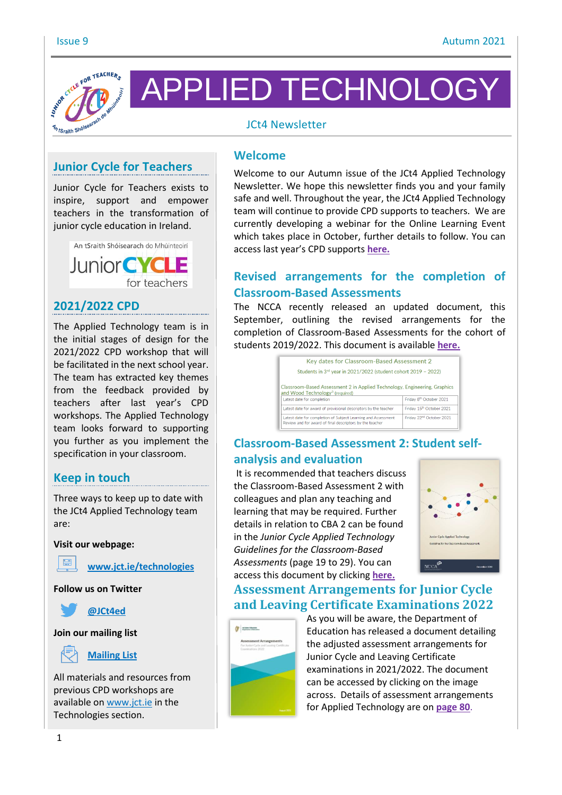

APPLIED TECHNOLOGY

### JCt4 Newsletter

# **Junior Cycle for Teachers**

Junior Cycle for Teachers exists to inspire, support and empower teachers in the transformation of junior cycle education in Ireland.



### **2021/2022 CPD**

The Applied Technology team is in the initial stages of design for the 2021/2022 CPD workshop that will be facilitated in the next school year. The team has extracted key themes from the feedback provided by teachers after last year's CPD workshops. The Applied Technology team looks forward to supporting you further as you implement the specification in your classroom.

### **Keep in touch**

Three ways to keep up to date with the JCt4 Applied Technology team are:

#### **Visit our webpage:**



**www.jct.ie/technologies**

**Follow us on Twitter**



#### **Join our mailing list**



#### **Mailing List**

All materials and resources from previous CPD workshops are available on www.jct.ie in the Technologies section.

#### **Welcome**

Welcome to our Autumn issue of the JCt4 Applied Technology Newsletter. We hope this newsletter finds you and your family safe and well. Throughout the year, the JCt4 Applied Technology team will continue to provide CPD supports to teachers. We are currently developing a webinar for the Online Learning Event which takes place in October, further details to follow. You can access last year's CPD supports **here.**

## **Revised arrangements for the completion of Classroom-Based Assessments**

The NCCA recently released an updated document, this September, outlining the revised arrangements for the completion of Classroom-Based Assessments for the cohort of students 2019/2022. This document is available **here.**

| Key dates for Classroom-Based Assessment 2                                                    |                                                                 |
|-----------------------------------------------------------------------------------------------|-----------------------------------------------------------------|
| Students in 3rd year in 2021/2022 (student cohort 2019 - 2022)                                |                                                                 |
| Classroom-Based Assessment 2 in Applied Technology, Engineering, Graphics                     |                                                                 |
| and Wood Technology <sup>3</sup> (required)                                                   |                                                                 |
| Latest date for completion<br>Latest date for award of provisional descriptors by the teacher | Friday 8 <sup>th</sup> October 2021<br>Friday 15th October 2021 |

# **Classroom-Based Assessment 2: Student selfanalysis and evaluation**

It is recommended that teachers discuss the Classroom-Based Assessment 2 with colleagues and plan any teaching and learning that may be required. Further details in relation to CBA 2 can be found in the *Junior Cycle Applied Technology Guidelines for the Classroom-Based Assessments* (page 19 to 29). You can access this document by clicking **here.**



### **Assessment Arrangements for Junior Cycle and Leaving Certificate Examinations 2022**



As you will be aware, the Department of Education has released a document detailing the adjusted assessment arrangements for Junior Cycle and Leaving Certificate examinations in 2021/2022. The document can be accessed by clicking on the image across. Details of assessment arrangements for Applied Technology are on **page 80**.